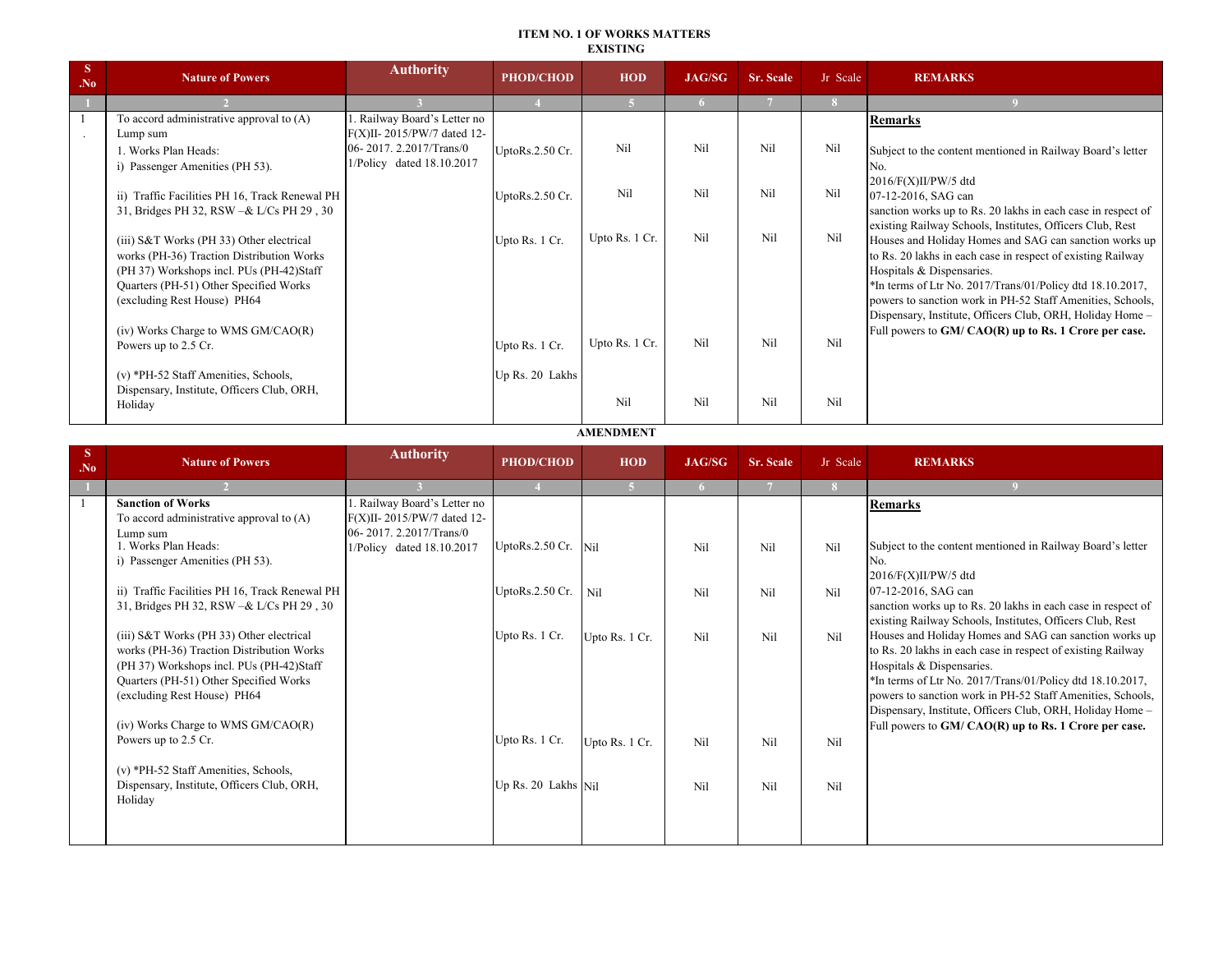#### **ITEM NO. 1 OF WORKS MATTERS EXISTING**

| <sup>S</sup><br>N <sub>0</sub> | <b>Nature of Powers</b>                                                               | <b>Authority</b>            | <b>PHOD/CHOD</b> | <b>HOD</b>     | <b>JAG/SG</b> | Sr. Scale | Jr Scale | <b>REMARKS</b>                                                                                                        |
|--------------------------------|---------------------------------------------------------------------------------------|-----------------------------|------------------|----------------|---------------|-----------|----------|-----------------------------------------------------------------------------------------------------------------------|
|                                |                                                                                       |                             |                  |                |               |           | -8       |                                                                                                                       |
|                                | To accord administrative approval to (A)                                              | . Railway Board's Letter no |                  |                |               |           |          | <b>Remarks</b>                                                                                                        |
|                                | Lump sum                                                                              | F(X)II-2015/PW/7 dated 12-  |                  |                |               |           |          |                                                                                                                       |
|                                | 1. Works Plan Heads:                                                                  | 06-2017.2.2017/Trans/0      | UptoRs.2.50 Cr.  | Nil            | Nil           | Nil       | Nil      | Subject to the content mentioned in Railway Board's letter                                                            |
|                                | i) Passenger Amenities (PH 53).                                                       | 1/Policy dated 18.10.2017   |                  |                |               |           |          | No.                                                                                                                   |
|                                |                                                                                       |                             |                  | Nil            |               |           |          | 2016/F(X)II/PW/5 dtd                                                                                                  |
|                                | Traffic Facilities PH 16, Track Renewal PH<br>$\overline{11}$                         |                             | UptoRs.2.50 Cr.  |                | Nil           | Nil       | Nil      | 07-12-2016, SAG can                                                                                                   |
|                                | 31, Bridges PH 32, RSW -& L/Cs PH 29, 30                                              |                             |                  |                |               |           |          | sanction works up to Rs. 20 lakhs in each case in respect of                                                          |
|                                |                                                                                       |                             |                  | Upto Rs. 1 Cr. | Nil           | Nil       | Nil      | existing Railway Schools, Institutes, Officers Club, Rest                                                             |
|                                | (iii) S&T Works (PH 33) Other electrical<br>works (PH-36) Traction Distribution Works |                             | Upto Rs. 1 Cr.   |                |               |           |          | Houses and Holiday Homes and SAG can sanction works up<br>to Rs. 20 lakhs in each case in respect of existing Railway |
|                                | (PH 37) Workshops incl. PUs (PH-42)Staff                                              |                             |                  |                |               |           |          | Hospitals & Dispensaries.                                                                                             |
|                                | Quarters (PH-51) Other Specified Works                                                |                             |                  |                |               |           |          | *In terms of Ltr No. 2017/Trans/01/Policy dtd 18.10.2017,                                                             |
|                                | (excluding Rest House) PH64                                                           |                             |                  |                |               |           |          | powers to sanction work in PH-52 Staff Amenities, Schools,                                                            |
|                                |                                                                                       |                             |                  |                |               |           |          | Dispensary, Institute, Officers Club, ORH, Holiday Home -                                                             |
|                                | (iv) Works Charge to WMS GM/CAO(R)                                                    |                             |                  |                |               |           |          | Full powers to GM/ CAO(R) up to Rs. 1 Crore per case.                                                                 |
|                                | Powers up to 2.5 Cr.                                                                  |                             | Upto Rs. 1 Cr.   | Upto Rs. 1 Cr. | Nil           | Nil       | Nil      |                                                                                                                       |
|                                |                                                                                       |                             |                  |                |               |           |          |                                                                                                                       |
|                                | (v) *PH-52 Staff Amenities, Schools,                                                  |                             | Up Rs. 20 Lakhs  |                |               |           |          |                                                                                                                       |
|                                | Dispensary, Institute, Officers Club, ORH,                                            |                             |                  | Nil            | Nil           | Nil       | Nil      |                                                                                                                       |
|                                | Holiday                                                                               |                             |                  |                |               |           |          |                                                                                                                       |

**AMENDMENT**

| <sup>S</sup><br>N <sub>0</sub> | <b>Nature of Powers</b>                                                                                                                                                                                                                          | <b>Authority</b>                                                                    | <b>PHOD/CHOD</b>      | <b>HOD</b>     | <b>JAG/SG</b> | <b>Sr. Scale</b> | Jr Scale | <b>REMARKS</b>                                                                                                                                                                                                                                                                                                                                                                                      |
|--------------------------------|--------------------------------------------------------------------------------------------------------------------------------------------------------------------------------------------------------------------------------------------------|-------------------------------------------------------------------------------------|-----------------------|----------------|---------------|------------------|----------|-----------------------------------------------------------------------------------------------------------------------------------------------------------------------------------------------------------------------------------------------------------------------------------------------------------------------------------------------------------------------------------------------------|
|                                |                                                                                                                                                                                                                                                  |                                                                                     |                       | 5.             |               |                  |          |                                                                                                                                                                                                                                                                                                                                                                                                     |
|                                | <b>Sanction of Works</b><br>To accord administrative approval to $(A)$<br>Lump sum                                                                                                                                                               | . Railway Board's Letter no<br>F(X)II-2015/PW/7 dated 12-<br>06-2017.2.2017/Trans/0 |                       |                |               |                  |          | <b>Remarks</b>                                                                                                                                                                                                                                                                                                                                                                                      |
|                                | 1. Works Plan Heads:<br>i) Passenger Amenities (PH 53).                                                                                                                                                                                          | 1/Policy dated 18.10.2017                                                           | UptoRs.2.50 Cr.       | Nil            | Nil           | Nil              | Nil      | Subject to the content mentioned in Railway Board's letter<br>No.<br>$2016/F(X)II/PW/5$ dtd                                                                                                                                                                                                                                                                                                         |
|                                | ii) Traffic Facilities PH 16, Track Renewal PH<br>31, Bridges PH 32, RSW -& L/Cs PH 29, 30                                                                                                                                                       |                                                                                     | UptoRs.2.50 Cr.       | Nil            | Nil           | Nil              | Nil      | 07-12-2016, SAG can<br>sanction works up to Rs. 20 lakhs in each case in respect of<br>existing Railway Schools, Institutes, Officers Club, Rest                                                                                                                                                                                                                                                    |
|                                | (iii) S&T Works (PH 33) Other electrical<br>works (PH-36) Traction Distribution Works<br>(PH 37) Workshops incl. PUs (PH-42)Staff<br>Quarters (PH-51) Other Specified Works<br>(excluding Rest House) PH64<br>(iv) Works Charge to WMS GM/CAO(R) |                                                                                     | Upto Rs. 1 Cr.        | Upto Rs. 1 Cr. | Nil           | Nil              | Nil      | Houses and Holiday Homes and SAG can sanction works up<br>to Rs. 20 lakhs in each case in respect of existing Railway<br>Hospitals & Dispensaries.<br>*In terms of Ltr No. 2017/Trans/01/Policy dtd 18.10.2017,<br>powers to sanction work in PH-52 Staff Amenities, Schools,<br>Dispensary, Institute, Officers Club, ORH, Holiday Home -<br>Full powers to GM/ CAO(R) up to Rs. 1 Crore per case. |
|                                | Powers up to 2.5 Cr.<br>(v) *PH-52 Staff Amenities, Schools,                                                                                                                                                                                     |                                                                                     | Upto Rs. 1 Cr.        | Upto Rs. 1 Cr. | Nil           | Nil              | Nil      |                                                                                                                                                                                                                                                                                                                                                                                                     |
|                                | Dispensary, Institute, Officers Club, ORH,<br>Holiday                                                                                                                                                                                            |                                                                                     | Up Rs. $20$ Lakhs Nil |                | Nil           | Nil              | Nil      |                                                                                                                                                                                                                                                                                                                                                                                                     |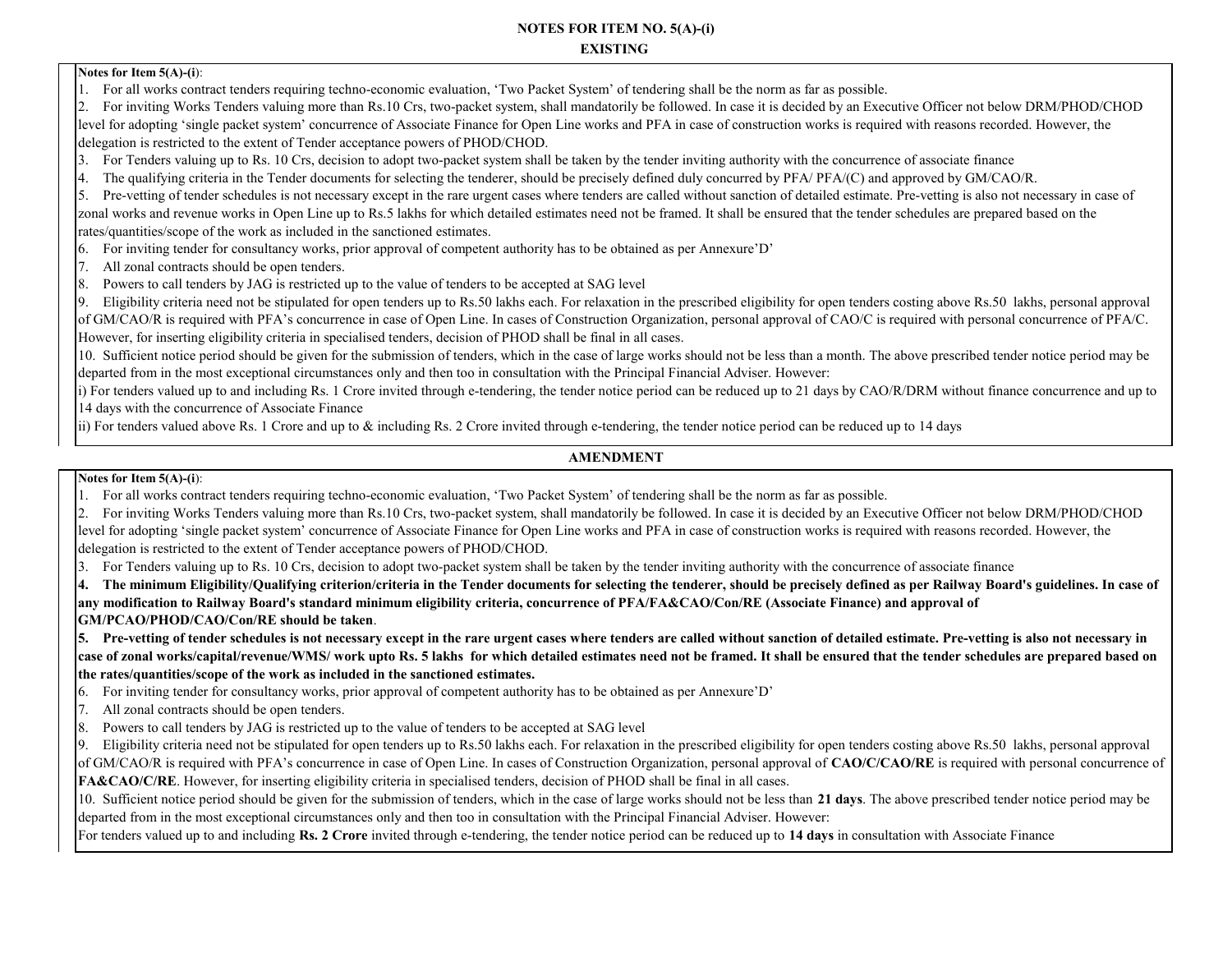**NOTES FOR ITEM NO. 5(A)-(i) EXISTING** 

#### **Notes for Item 5(A)-(i**):

1. For all works contract tenders requiring techno-economic evaluation, 'Two Packet System' of tendering shall be the norm as far as possible.

2. For inviting Works Tenders valuing more than Rs.10 Crs, two-packet system, shall mandatorily be followed. In case it is decided by an Executive Officer not below DRM/PHOD/CHOD level for adopting 'single packet system' concurrence of Associate Finance for Open Line works and PFA in case of construction works is required with reasons recorded. However, the delegation is restricted to the extent of Tender acceptance powers of PHOD/CHOD.

- 3. For Tenders valuing up to Rs. 10 Crs, decision to adopt two-packet system shall be taken by the tender inviting authority with the concurrence of associate finance
- 4. The qualifying criteria in the Tender documents for selecting the tenderer, should be precisely defined duly concurred by PFA/ PFA/(C) and approved by GM/CAO/R.

5. Pre-vetting of tender schedules is not necessary except in the rare urgent cases where tenders are called without sanction of detailed estimate. Pre-vetting is also not necessary in case of zonal works and revenue works in Open Line up to Rs.5 lakhs for which detailed estimates need not be framed. It shall be ensured that the tender schedules are prepared based on the rates/quantities/scope of the work as included in the sanctioned estimates.

- 6. For inviting tender for consultancy works, prior approval of competent authority has to be obtained as per Annexure'D'
- 7. All zonal contracts should be open tenders.
- 8. Powers to call tenders by JAG is restricted up to the value of tenders to be accepted at SAG level

9. Eligibility criteria need not be stipulated for open tenders up to Rs.50 lakhs each. For relaxation in the prescribed eligibility for open tenders costing above Rs.50 lakhs, personal approval of GM/CAO/R is required with PFA's concurrence in case of Open Line. In cases of Construction Organization, personal approval of CAO/C is required with personal concurrence of PFA/C. However, for inserting eligibility criteria in specialised tenders, decision of PHOD shall be final in all cases.

10. Sufficient notice period should be given for the submission of tenders, which in the case of large works should not be less than a month. The above prescribed tender notice period may be departed from in the most exceptional circumstances only and then too in consultation with the Principal Financial Adviser. However:

i) For tenders valued up to and including Rs. 1 Crore invited through e-tendering, the tender notice period can be reduced up to 21 days by CAO/R/DRM without finance concurrence and up to 14 days with the concurrence of Associate Finance

ii) For tenders valued above Rs. 1 Crore and up to & including Rs. 2 Crore invited through e-tendering, the tender notice period can be reduced up to 14 days

### **AMENDMENT**

#### **Notes for Item 5(A)-(i**):

1. For all works contract tenders requiring techno-economic evaluation, 'Two Packet System' of tendering shall be the norm as far as possible.

2. For inviting Works Tenders valuing more than Rs.10 Crs, two-packet system, shall mandatorily be followed. In case it is decided by an Executive Officer not below DRM/PHOD/CHOD level for adopting 'single packet system' concurrence of Associate Finance for Open Line works and PFA in case of construction works is required with reasons recorded. However, the delegation is restricted to the extent of Tender acceptance powers of PHOD/CHOD.

3. For Tenders valuing up to Rs. 10 Crs, decision to adopt two-packet system shall be taken by the tender inviting authority with the concurrence of associate finance

**4. The minimum Eligibility/Qualifying criterion/criteria in the Tender documents for selecting the tenderer, should be precisely defined as per Railway Board's guidelines. In case of any modification to Railway Board's standard minimum eligibility criteria, concurrence of PFA/FA&CAO/Con/RE (Associate Finance) and approval of GM/PCAO/PHOD/CAO/Con/RE should be taken**.

**5. Pre-vetting of tender schedules is not necessary except in the rare urgent cases where tenders are called without sanction of detailed estimate. Pre-vetting is also not necessary in case of zonal works/capital/revenue/WMS/ work upto Rs. 5 lakhs for which detailed estimates need not be framed. It shall be ensured that the tender schedules are prepared based on the rates/quantities/scope of the work as included in the sanctioned estimates.**

- 6. For inviting tender for consultancy works, prior approval of competent authority has to be obtained as per Annexure'D'
- 7. All zonal contracts should be open tenders.
- 8. Powers to call tenders by JAG is restricted up to the value of tenders to be accepted at SAG level

9. Eligibility criteria need not be stipulated for open tenders up to Rs.50 lakhs each. For relaxation in the prescribed eligibility for open tenders costing above Rs.50 lakhs, personal approval of GM/CAO/R is required with PFA's concurrence in case of Open Line. In cases of Construction Organization, personal approval of **CAO/C/CAO/RE** is required with personal concurrence of **FA&CAO/C/RE**. However, for inserting eligibility criteria in specialised tenders, decision of PHOD shall be final in all cases.

10. Sufficient notice period should be given for the submission of tenders, which in the case of large works should not be less than **21 days**. The above prescribed tender notice period may be departed from in the most exceptional circumstances only and then too in consultation with the Principal Financial Adviser. However:

For tenders valued up to and including **Rs. 2 Crore** invited through e-tendering, the tender notice period can be reduced up to **14 days** in consultation with Associate Finance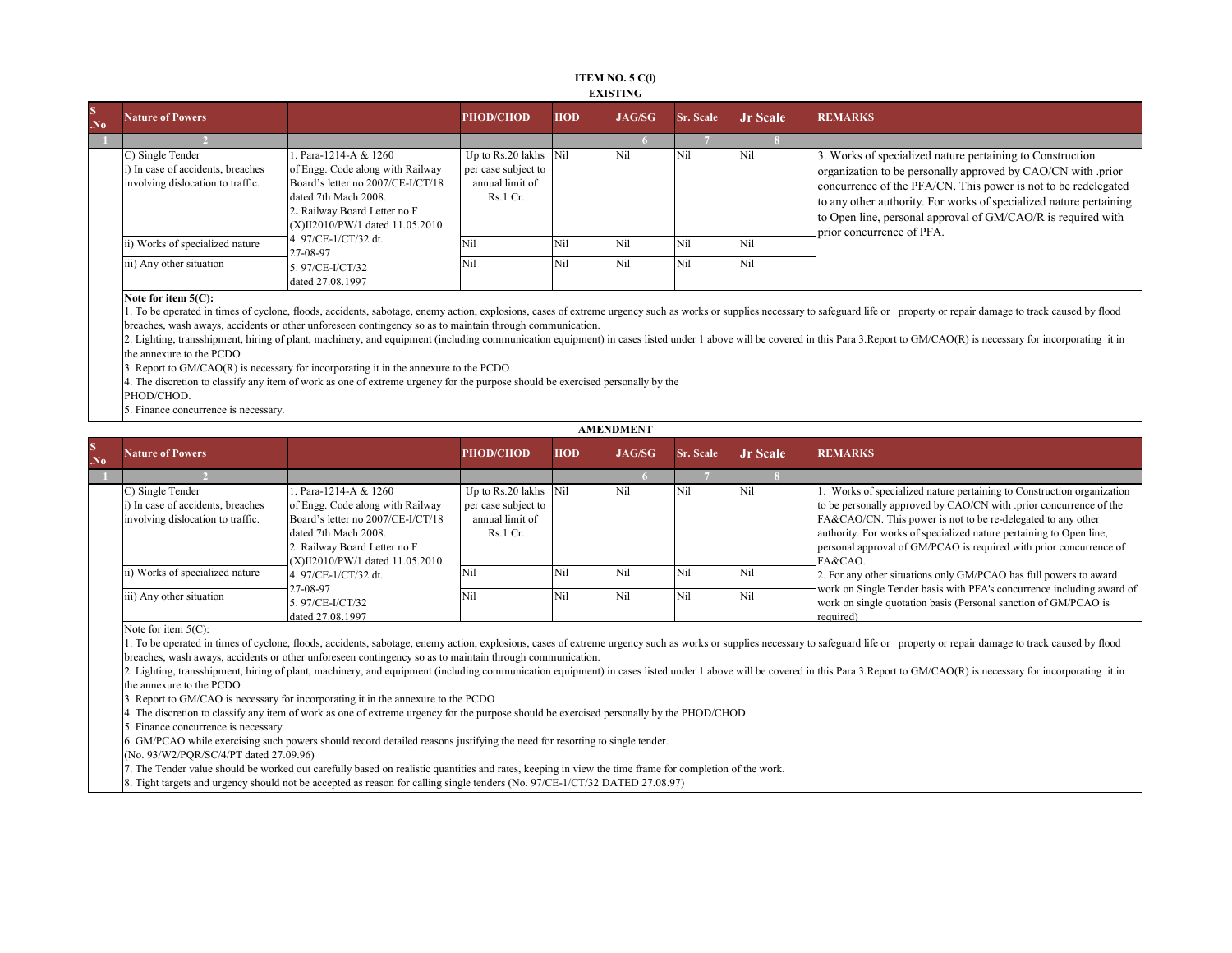#### **ITEM NO. 5 C(i) EXISTING**

| $\mathbf S$<br>N <sub>0</sub> | <b>Nature of Powers</b>                                                                    |                                                                                                                                                                                       | <b>PHOD/CHOD</b>                                                            | <b>HOD</b> | <b>JAG/SG</b> | <b>Sr. Scale</b> | <b>Jr Scale</b> | <b>REMARKS</b>                                                                                                                                                                                                                                                                                                                                                 |
|-------------------------------|--------------------------------------------------------------------------------------------|---------------------------------------------------------------------------------------------------------------------------------------------------------------------------------------|-----------------------------------------------------------------------------|------------|---------------|------------------|-----------------|----------------------------------------------------------------------------------------------------------------------------------------------------------------------------------------------------------------------------------------------------------------------------------------------------------------------------------------------------------------|
|                               |                                                                                            |                                                                                                                                                                                       |                                                                             |            |               |                  |                 |                                                                                                                                                                                                                                                                                                                                                                |
|                               | C) Single Tender<br>i) In case of accidents, breaches<br>involving dislocation to traffic. | Para-1214-A & 1260<br>of Engg. Code along with Railway<br>Board's letter no 2007/CE-I/CT/18<br>dated 7th Mach 2008.<br>2. Railway Board Letter no F<br>X)II2010/PW/1 dated 11.05.2010 | Up to Rs.20 lakhs Nil<br>per case subject to<br>annual limit of<br>Rs.1 Cr. |            | Nil           | Nil              | Nil             | 3. Works of specialized nature pertaining to Construction<br>organization to be personally approved by CAO/CN with .prior<br>concurrence of the PFA/CN. This power is not to be redelegated<br>to any other authority. For works of specialized nature pertaining<br>to Open line, personal approval of GM/CAO/R is required with<br>prior concurrence of PFA. |
|                               | ii) Works of specialized nature                                                            | 1.97/CE-1/CT/32 dt.<br>27-08-97                                                                                                                                                       |                                                                             | Nil        | Nil           | Nil              | <b>Nil</b>      |                                                                                                                                                                                                                                                                                                                                                                |
|                               | iii) Any other situation                                                                   | 5.97/CE-I/CT/32<br>dated 27.08.1997                                                                                                                                                   | Nii                                                                         | Nil        | Nil           | Nil              | <b>Nil</b>      |                                                                                                                                                                                                                                                                                                                                                                |

**Note for item 5(C):**

1. To be operated in times of cyclone, floods, accidents, sabotage, enemy action, explosions, cases of extreme urgency such as works or supplies necessary to safeguard life or property or repair damage to track caused by f breaches, wash aways, accidents or other unforeseen contingency so as to maintain through communication.

2. Lighting, transshipment, hiring of plant, machinery, and equipment (including communication equipment) in cases listed under 1 above will be covered in this Para 3.Report to GM/CAO(R) is necessary for incorporating it i the annexure to the PCDO

3. Report to GM/CAO(R) is necessary for incorporating it in the annexure to the PCDO

4. The discretion to classify any item of work as one of extreme urgency for the purpose should be exercised personally by the

PHOD/CHOD.

5. Finance concurrence is necessary.

| <b>S</b><br>.N <sub>0</sub> | <b>Nature of Powers</b>                                                                    |                                                                                                                                                     | <b>PHOD/CHOD</b>                                                            | <b>HOD</b> | JAG/SG | <b>Sr. Scale</b> | <b>Jr</b> Scale | <b>REMARKS</b>                                                                                                                                                                                                                                                                                                                                            |
|-----------------------------|--------------------------------------------------------------------------------------------|-----------------------------------------------------------------------------------------------------------------------------------------------------|-----------------------------------------------------------------------------|------------|--------|------------------|-----------------|-----------------------------------------------------------------------------------------------------------------------------------------------------------------------------------------------------------------------------------------------------------------------------------------------------------------------------------------------------------|
|                             |                                                                                            |                                                                                                                                                     |                                                                             |            |        |                  |                 |                                                                                                                                                                                                                                                                                                                                                           |
|                             | C) Single Tender<br>i) In case of accidents, breaches<br>involving dislocation to traffic. | Para-1214-A & 1260<br>of Engg. Code along with Railway<br>Board's letter no 2007/CE-I/CT/18<br>dated 7th Mach 2008.<br>2. Railway Board Letter no F | Up to Rs.20 lakhs Nil<br>per case subject to<br>annual limit of<br>Rs.1 Cr. |            | Nil    | Nil              | Nil             | 1. Works of specialized nature pertaining to Construction organization<br>to be personally approved by CAO/CN with .prior concurrence of the<br>FA&CAO/CN. This power is not to be re-delegated to any other<br>authority. For works of specialized nature pertaining to Open line,<br>personal approval of GM/PCAO is required with prior concurrence of |
|                             | ii) Works of specialized nature                                                            | (X)II2010/PW/1 dated 11.05.2010<br>4. 97/CE-1/CT/32 dt.                                                                                             | Nil                                                                         | Nil        | Nil    | Nil              | Nil             | FA&CAO.                                                                                                                                                                                                                                                                                                                                                   |
|                             |                                                                                            | 27-08-97                                                                                                                                            | Nil                                                                         |            |        |                  |                 | 2. For any other situations only GM/PCAO has full powers to award<br>work on Single Tender basis with PFA's concurrence including award of                                                                                                                                                                                                                |
|                             | iii) Any other situation                                                                   | 5.97/CE-I/CT/32<br>dated 27.08.1997                                                                                                                 |                                                                             | Nil        | Nil    | Nil              | Nil             | work on single quotation basis (Personal sanction of GM/PCAO is<br>required)                                                                                                                                                                                                                                                                              |

Note for item 5(C):

1. To be operated in times of cyclone, floods, accidents, sabotage, enemy action, explosions, cases of extreme urgency such as works or supplies necessary to safeguard life or property or repair damage to track caused by f breaches, wash aways, accidents or other unforeseen contingency so as to maintain through communication.

2. Lighting, transshipment, hiring of plant, machinery, and equipment (including communication equipment) in cases listed under 1 above will be covered in this Para 3.Report to GM/CAO(R) is necessary for incorporating it in the annexure to the PCDO

3. Report to GM/CAO is necessary for incorporating it in the annexure to the PCDO

4. The discretion to classify any item of work as one of extreme urgency for the purpose should be exercised personally by the PHOD/CHOD.

5. Finance concurrence is necessary.

6. GM/PCAO while exercising such powers should record detailed reasons justifying the need for resorting to single tender.

(No. 93/W2/PQR/SC/4/PT dated 27.09.96)

7. The Tender value should be worked out carefully based on realistic quantities and rates, keeping in view the time frame for completion of the work.

8. Tight targets and urgency should not be accepted as reason for calling single tenders (No. 97/CE-1/CT/32 DATED 27.08.97)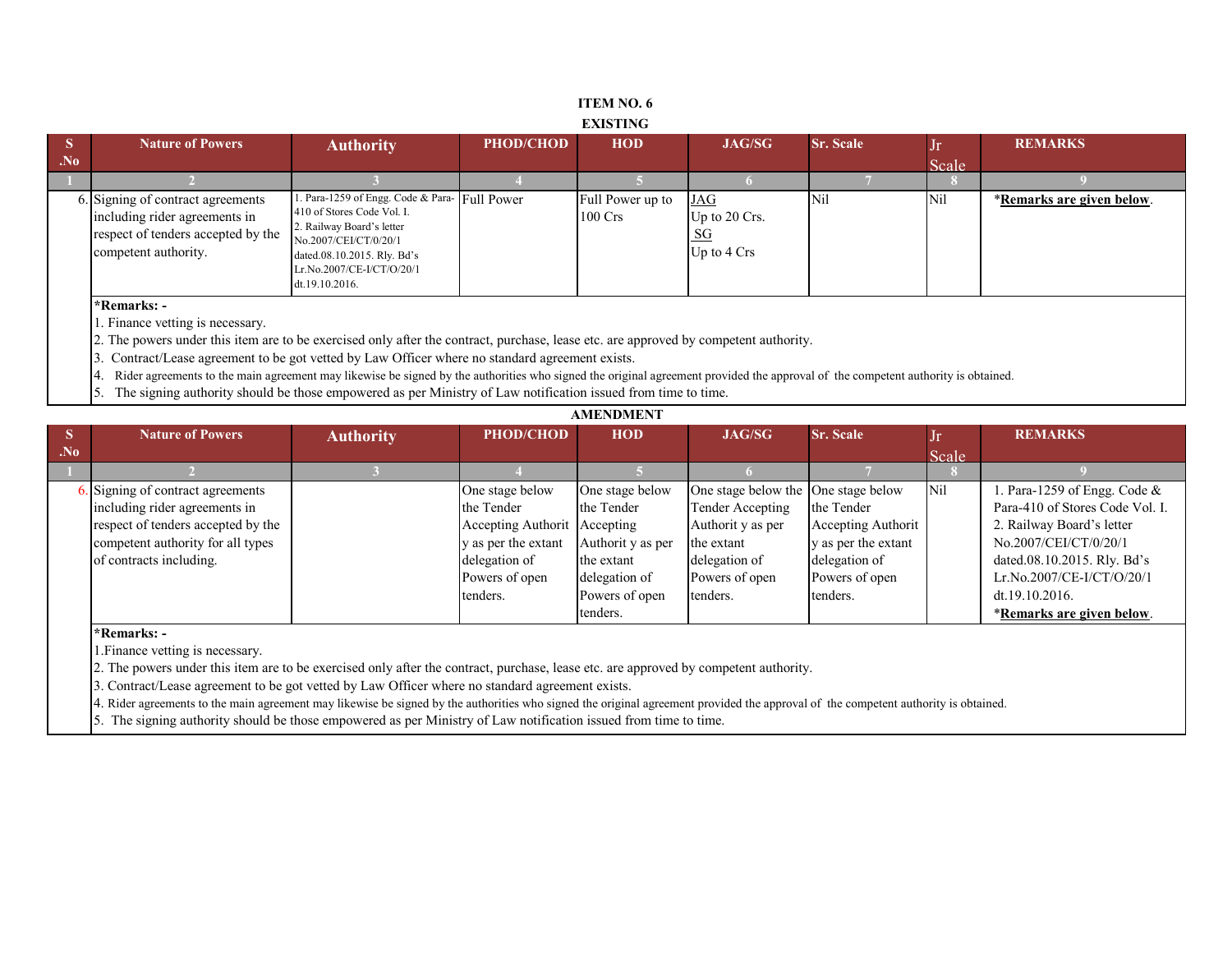#### **ITEM NO. 6 EXISTING**

| Scale<br>Para-1259 of Engg. Code & Para- Full Power<br><b>Nil</b><br>Nil<br>JAG<br>6. Signing of contract agreements<br>Full Power up to<br>410 of Stores Code Vol. I.<br>including rider agreements in<br>$100 \text{ Crs}$<br>Up to $20$ Crs.<br>2. Railway Board's letter<br>respect of tenders accepted by the<br><u>_SG</u><br>No.2007/CEI/CT/0/20/1<br>Up to 4 Crs<br>competent authority.<br>dated.08.10.2015. Rly. Bd's<br>Lr.No.2007/CE-I/CT/O/20/1<br>dt.19.10.2016. | $\overline{\phantom{a}}$ S | <b>Nature of Powers</b> | <b>Authority</b> | <b>PHOD/CHOD</b> | <b>HOD</b> | <b>JAG/SG</b> | <b>Sr. Scale</b> | Jr | <b>REMARKS</b>            |
|--------------------------------------------------------------------------------------------------------------------------------------------------------------------------------------------------------------------------------------------------------------------------------------------------------------------------------------------------------------------------------------------------------------------------------------------------------------------------------|----------------------------|-------------------------|------------------|------------------|------------|---------------|------------------|----|---------------------------|
|                                                                                                                                                                                                                                                                                                                                                                                                                                                                                | $N_0$                      |                         |                  |                  |            |               |                  |    |                           |
|                                                                                                                                                                                                                                                                                                                                                                                                                                                                                |                            |                         |                  |                  |            |               |                  |    |                           |
|                                                                                                                                                                                                                                                                                                                                                                                                                                                                                |                            |                         |                  |                  |            |               |                  |    | *Remarks are given below. |

1. Finance vetting is necessary.

2. The powers under this item are to be exercised only after the contract, purchase, lease etc. are approved by competent authority.

3. Contract/Lease agreement to be got vetted by Law Officer where no standard agreement exists.

4. Rider agreements to the main agreement may likewise be signed by the authorities who signed the original agreement provided the approval of the competent authority is obtained.

5. The signing authority should be those empowered as per Ministry of Law notification issued from time to time.

|                | <b>Nature of Powers</b>            | <b>Authority</b> | PHOD/CHOD                    | <b>HOD</b>        | JAG/SG                              | <b>Sr. Scale</b>    | Jr    | <b>REMARKS</b>                  |
|----------------|------------------------------------|------------------|------------------------------|-------------------|-------------------------------------|---------------------|-------|---------------------------------|
| N <sub>0</sub> |                                    |                  |                              |                   |                                     |                     | Scale |                                 |
|                |                                    |                  |                              |                   |                                     |                     |       |                                 |
|                | Signing of contract agreements     |                  | One stage below              | One stage below   | One stage below the One stage below |                     | Nil   | 1. Para-1259 of Engg. Code $&$  |
|                | including rider agreements in      |                  | the Tender                   | the Tender        | Tender Accepting                    | the Tender          |       | Para-410 of Stores Code Vol. I. |
|                | respect of tenders accepted by the |                  | Accepting Authorit Accepting |                   | Authorit y as per                   | Accepting Authorit  |       | 2. Railway Board's letter       |
|                | competent authority for all types  |                  | y as per the extant          | Authorit y as per | the extant                          | y as per the extant |       | No.2007/CEI/CT/0/20/1           |
|                | of contracts including.            |                  | delegation of                | the extant        | delegation of                       | delegation of       |       | dated.08.10.2015. Rly. Bd's     |
|                |                                    |                  | Powers of open               | delegation of     | Powers of open                      | Powers of open      |       | Lr.No.2007/CE-I/CT/O/20/1       |
|                |                                    |                  | tenders.                     | Powers of open    | tenders.                            | tenders.            |       | dt.19.10.2016.                  |
|                |                                    |                  |                              | tenders.          |                                     |                     |       | *Remarks are given below.       |

**\*Remarks: -** 

1.Finance vetting is necessary.

2. The powers under this item are to be exercised only after the contract, purchase, lease etc. are approved by competent authority.

3. Contract/Lease agreement to be got vetted by Law Officer where no standard agreement exists.

4. Rider agreements to the main agreement may likewise be signed by the authorities who signed the original agreement provided the approval of the competent authority is obtained.

5. The signing authority should be those empowered as per Ministry of Law notification issued from time to time.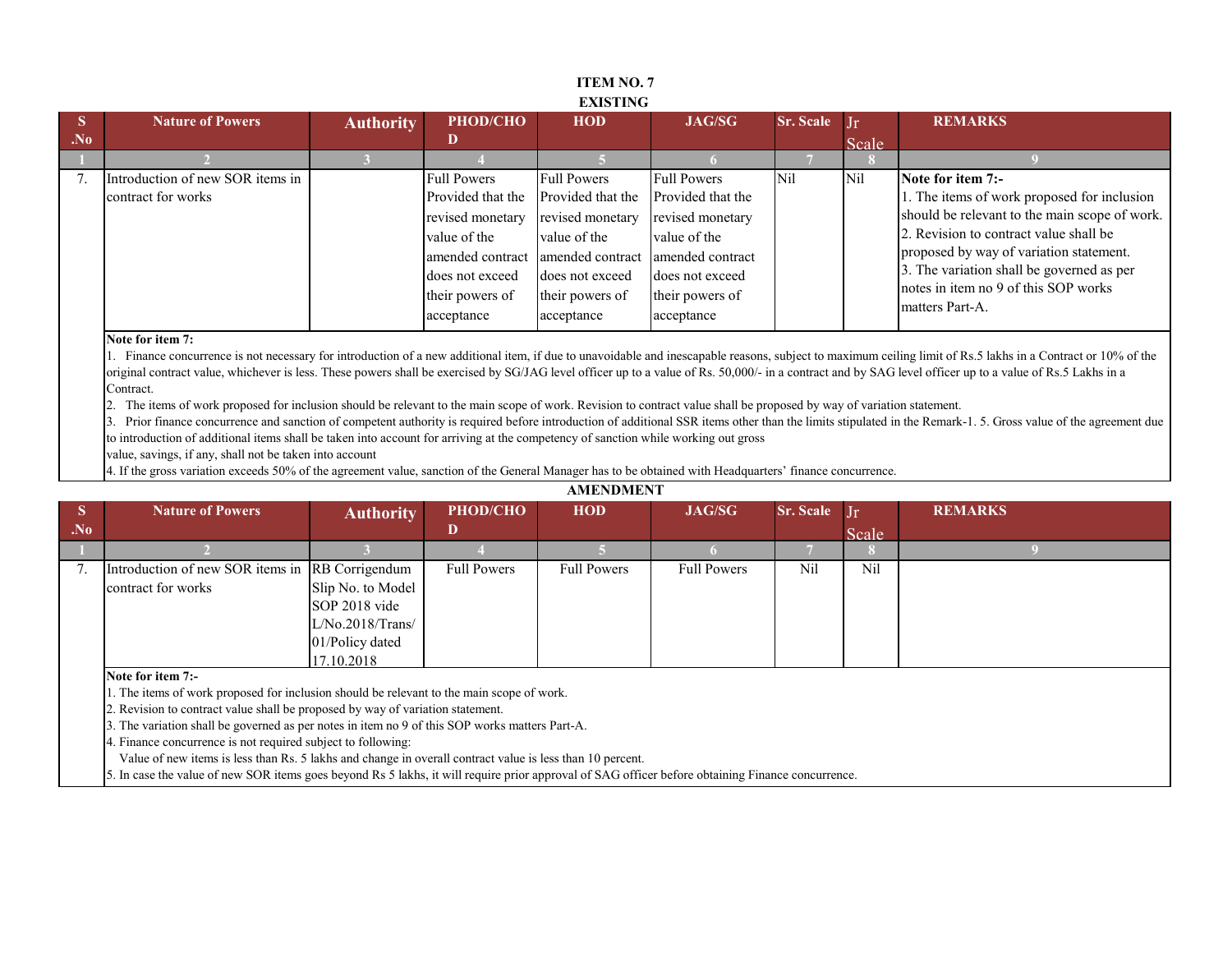|                         |                                                        |                  |                                                                                                                                                                      | <b>EXISTING</b>                                                                                                                 |                                                                                                                                                     |                  |           |                                                                                                                                                                                                                                                                                                                |
|-------------------------|--------------------------------------------------------|------------------|----------------------------------------------------------------------------------------------------------------------------------------------------------------------|---------------------------------------------------------------------------------------------------------------------------------|-----------------------------------------------------------------------------------------------------------------------------------------------------|------------------|-----------|----------------------------------------------------------------------------------------------------------------------------------------------------------------------------------------------------------------------------------------------------------------------------------------------------------------|
| $\overline{\mathbf{S}}$ | <b>Nature of Powers</b>                                | <b>Authority</b> | PHOD/CHO                                                                                                                                                             | <b>HOD</b>                                                                                                                      | <b>JAG/SG</b>                                                                                                                                       | <b>Sr. Scale</b> | $\prod$ r | <b>REMARKS</b>                                                                                                                                                                                                                                                                                                 |
| .No                     |                                                        |                  | D                                                                                                                                                                    |                                                                                                                                 |                                                                                                                                                     |                  | Scale     |                                                                                                                                                                                                                                                                                                                |
|                         |                                                        |                  |                                                                                                                                                                      |                                                                                                                                 |                                                                                                                                                     |                  |           |                                                                                                                                                                                                                                                                                                                |
|                         | Introduction of new SOR items in<br>contract for works |                  | <b>Full Powers</b><br>Provided that the<br>revised monetary<br>value of the<br>amended contract amended contract<br>does not exceed<br>their powers of<br>acceptance | <b>Full Powers</b><br>Provided that the<br>revised monetary<br>value of the<br>does not exceed<br>their powers of<br>acceptance | <b>Full Powers</b><br>Provided that the<br>revised monetary<br>value of the<br>amended contract<br>does not exceed<br>their powers of<br>acceptance | <b>Nil</b>       | Nil       | Note for item 7:-<br>1. The items of work proposed for inclusion<br>should be relevant to the main scope of work.<br>2. Revision to contract value shall be<br>proposed by way of variation statement.<br>3. The variation shall be governed as per<br>notes in item no 9 of this SOP works<br>matters Part-A. |

#### **Note for item 7:**

1. Finance concurrence is not necessary for introduction of a new additional item, if due to unavoidable and inescapable reasons, subject to maximum ceiling limit of Rs.5 lakhs in a Contract or 10% of the original contract value, whichever is less. These powers shall be exercised by SG/JAG level officer up to a value of Rs. 50,000/- in a contract and by SAG level officer up to a value of Rs.5 Lakhs in a Contract.

2. The items of work proposed for inclusion should be relevant to the main scope of work. Revision to contract value shall be proposed by way of variation statement.

3. Prior finance concurrence and sanction of competent authority is required before introduction of additional SSR items other than the limits stipulated in the Remark-1. 5. Gross value of the agreement due to introduction of additional items shall be taken into account for arriving at the competency of sanction while working out gross

**AMENDMENT**

value, savings, if any, shall not be taken into account

4. If the gross variation exceeds 50% of the agreement value, sanction of the General Manager has to be obtained with Headquarters' finance concurrence.

|                | , , , , , , , , , , , , , , , , , , ,                                                                                                             |                  |                    |                    |                    |                  |                |                |  |  |  |  |
|----------------|---------------------------------------------------------------------------------------------------------------------------------------------------|------------------|--------------------|--------------------|--------------------|------------------|----------------|----------------|--|--|--|--|
| <b>S</b>       | <b>Nature of Powers</b>                                                                                                                           | <b>Authority</b> | PHOD/CHO           | <b>HOD</b>         | <b>JAG/SG</b>      | <b>Sr. Scale</b> | $\prod$ r      | <b>REMARKS</b> |  |  |  |  |
| N <sub>0</sub> |                                                                                                                                                   |                  | D                  |                    |                    |                  | Scale          |                |  |  |  |  |
|                |                                                                                                                                                   |                  |                    |                    |                    |                  |                |                |  |  |  |  |
|                | Introduction of new SOR items in RB Corrigendum                                                                                                   |                  | <b>Full Powers</b> | <b>Full Powers</b> | <b>Full Powers</b> | Nil              | N <sub>i</sub> |                |  |  |  |  |
|                | Slip No. to Model<br>contract for works                                                                                                           |                  |                    |                    |                    |                  |                |                |  |  |  |  |
|                | SOP 2018 vide                                                                                                                                     |                  |                    |                    |                    |                  |                |                |  |  |  |  |
|                | L/No.2018/Trans/                                                                                                                                  |                  |                    |                    |                    |                  |                |                |  |  |  |  |
|                | 01/Policy dated                                                                                                                                   |                  |                    |                    |                    |                  |                |                |  |  |  |  |
|                |                                                                                                                                                   | 17.10.2018       |                    |                    |                    |                  |                |                |  |  |  |  |
|                | Note for item 7:-                                                                                                                                 |                  |                    |                    |                    |                  |                |                |  |  |  |  |
|                | 1. The items of work proposed for inclusion should be relevant to the main scope of work.                                                         |                  |                    |                    |                    |                  |                |                |  |  |  |  |
|                | 2. Revision to contract value shall be proposed by way of variation statement.                                                                    |                  |                    |                    |                    |                  |                |                |  |  |  |  |
|                | 3. The variation shall be governed as per notes in item no 9 of this SOP works matters Part-A.                                                    |                  |                    |                    |                    |                  |                |                |  |  |  |  |
|                | 4. Finance concurrence is not required subject to following:                                                                                      |                  |                    |                    |                    |                  |                |                |  |  |  |  |
|                | Value of new items is less than Rs. 5 lakhs and change in overall contract value is less than 10 percent.                                         |                  |                    |                    |                    |                  |                |                |  |  |  |  |
|                | 5. In case the value of new SOR items goes beyond Rs 5 lakhs, it will require prior approval of SAG officer before obtaining Finance concurrence. |                  |                    |                    |                    |                  |                |                |  |  |  |  |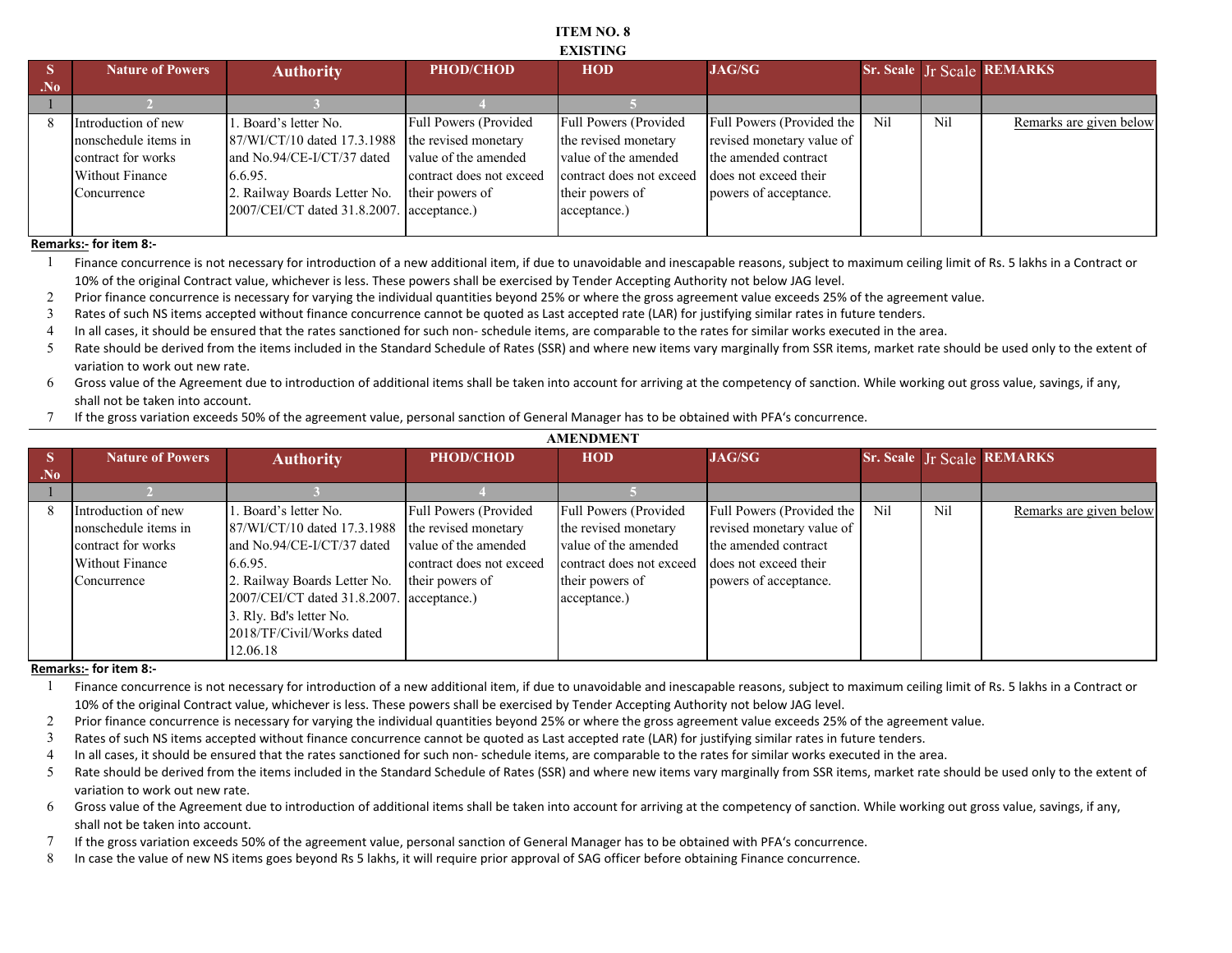#### **ITEM NO. 8 EXISTING**

|       | <b>Nature of Powers</b> | <b>Authority</b>                          | <b>PHOD/CHOD</b>             | <b>HOD</b>               | <b>JAG/SG</b>             |     |                 | <b>Sr. Scale Jr Scale REMARKS</b> |
|-------|-------------------------|-------------------------------------------|------------------------------|--------------------------|---------------------------|-----|-----------------|-----------------------------------|
| $N_0$ |                         |                                           |                              |                          |                           |     |                 |                                   |
|       |                         |                                           |                              |                          |                           |     |                 |                                   |
|       | Introduction of new     | 1. Board's letter No.                     | <b>Full Powers (Provided</b> | Full Powers (Provided    | Full Powers (Provided the | Nil | N <sub>il</sub> | Remarks are given below           |
|       | nonschedule items in    | 87/WI/CT/10 dated 17.3.1988               | the revised monetary         | the revised monetary     | revised monetary value of |     |                 |                                   |
|       | contract for works      | and No.94/CE-I/CT/37 dated                | value of the amended         | value of the amended     | the amended contract      |     |                 |                                   |
|       | <b>Without Finance</b>  | 6.6.95.                                   | contract does not exceed     | contract does not exceed | does not exceed their     |     |                 |                                   |
|       | Concurrence             | 2. Railway Boards Letter No.              | their powers of              | their powers of          | powers of acceptance.     |     |                 |                                   |
|       |                         | 2007/CEI/CT dated 31.8.2007. acceptance.) |                              | acceptance.)             |                           |     |                 |                                   |
|       |                         |                                           |                              |                          |                           |     |                 |                                   |

**Remarks:- for item 8:-**

1 Finance concurrence is not necessary for introduction of a new additional item, if due to unavoidable and inescapable reasons, subject to maximum ceiling limit of Rs. 5 lakhs in a Contract or 10% of the original Contract value, whichever is less. These powers shall be exercised by Tender Accepting Authority not below JAG level.

2 Prior finance concurrence is necessary for varying the individual quantities beyond 25% or where the gross agreement value exceeds 25% of the agreement value.

3 Rates of such NS items accepted without finance concurrence cannot be quoted as Last accepted rate (LAR) for justifying similar rates in future tenders.

4 In all cases, it should be ensured that the rates sanctioned for such non- schedule items, are comparable to the rates for similar works executed in the area.

5 Rate should be derived from the items included in the Standard Schedule of Rates (SSR) and where new items vary marginally from SSR items, market rate should be used only to the extent of variation to work out new rate.

6 Gross value of the Agreement due to introduction of additional items shall be taken into account for arriving at the competency of sanction. While working out gross value, savings, if any, shall not be taken into account.

7 If the gross variation exceeds 50% of the agreement value, personal sanction of General Manager has to be obtained with PFA's concurrence.

|                | <b>AMENDMENT</b>        |                                           |                          |                              |                           |     |     |                                   |  |
|----------------|-------------------------|-------------------------------------------|--------------------------|------------------------------|---------------------------|-----|-----|-----------------------------------|--|
| D              | <b>Nature of Powers</b> | <b>Authority</b>                          | <b>PHOD/CHOD</b>         | <b>HOD</b>                   | <b>JAG/SG</b>             |     |     | <b>Sr. Scale Jr Scale REMARKS</b> |  |
| N <sub>0</sub> |                         |                                           |                          |                              |                           |     |     |                                   |  |
|                |                         |                                           |                          |                              |                           |     |     |                                   |  |
| 8              | Introduction of new     | 1. Board's letter No.                     | Full Powers (Provided    | <b>Full Powers (Provided</b> | Full Powers (Provided the | Nil | Nil | Remarks are given below           |  |
|                | nonschedule items in    | 87/WI/CT/10 dated 17.3.1988               | the revised monetary     | the revised monetary         | revised monetary value of |     |     |                                   |  |
|                | contract for works      | and No.94/CE-I/CT/37 dated                | value of the amended     | value of the amended         | the amended contract      |     |     |                                   |  |
|                | Without Finance         | 6.6.95.                                   | contract does not exceed | contract does not exceed     | does not exceed their     |     |     |                                   |  |
|                | Concurrence             | 2. Railway Boards Letter No.              | their powers of          | their powers of              | powers of acceptance.     |     |     |                                   |  |
|                |                         | 2007/CEI/CT dated 31.8.2007. acceptance.) |                          | acceptance.)                 |                           |     |     |                                   |  |
|                |                         | 3. Rly. Bd's letter No.                   |                          |                              |                           |     |     |                                   |  |
|                |                         | 2018/TF/Civil/Works dated                 |                          |                              |                           |     |     |                                   |  |
|                |                         | 12.06.18                                  |                          |                              |                           |     |     |                                   |  |

**Remarks:- for item 8:-**

1 Finance concurrence is not necessary for introduction of a new additional item, if due to unavoidable and inescapable reasons, subject to maximum ceiling limit of Rs. 5 lakhs in a Contract or 10% of the original Contract value, whichever is less. These powers shall be exercised by Tender Accepting Authority not below JAG level.

- 2 Prior finance concurrence is necessary for varying the individual quantities beyond 25% or where the gross agreement value exceeds 25% of the agreement value.
- 3 Rates of such NS items accepted without finance concurrence cannot be quoted as Last accepted rate (LAR) for justifying similar rates in future tenders.
- 4 In all cases, it should be ensured that the rates sanctioned for such non- schedule items, are comparable to the rates for similar works executed in the area.
- 5 Rate should be derived from the items included in the Standard Schedule of Rates (SSR) and where new items vary marginally from SSR items, market rate should be used only to the extent of variation to work out new rate.
- 6 Gross value of the Agreement due to introduction of additional items shall be taken into account for arriving at the competency of sanction. While working out gross value, savings, if any, shall not be taken into account.
- 7 If the gross variation exceeds 50% of the agreement value, personal sanction of General Manager has to be obtained with PFA's concurrence.
- 8 In case the value of new NS items goes beyond Rs 5 lakhs, it will require prior approval of SAG officer before obtaining Finance concurrence.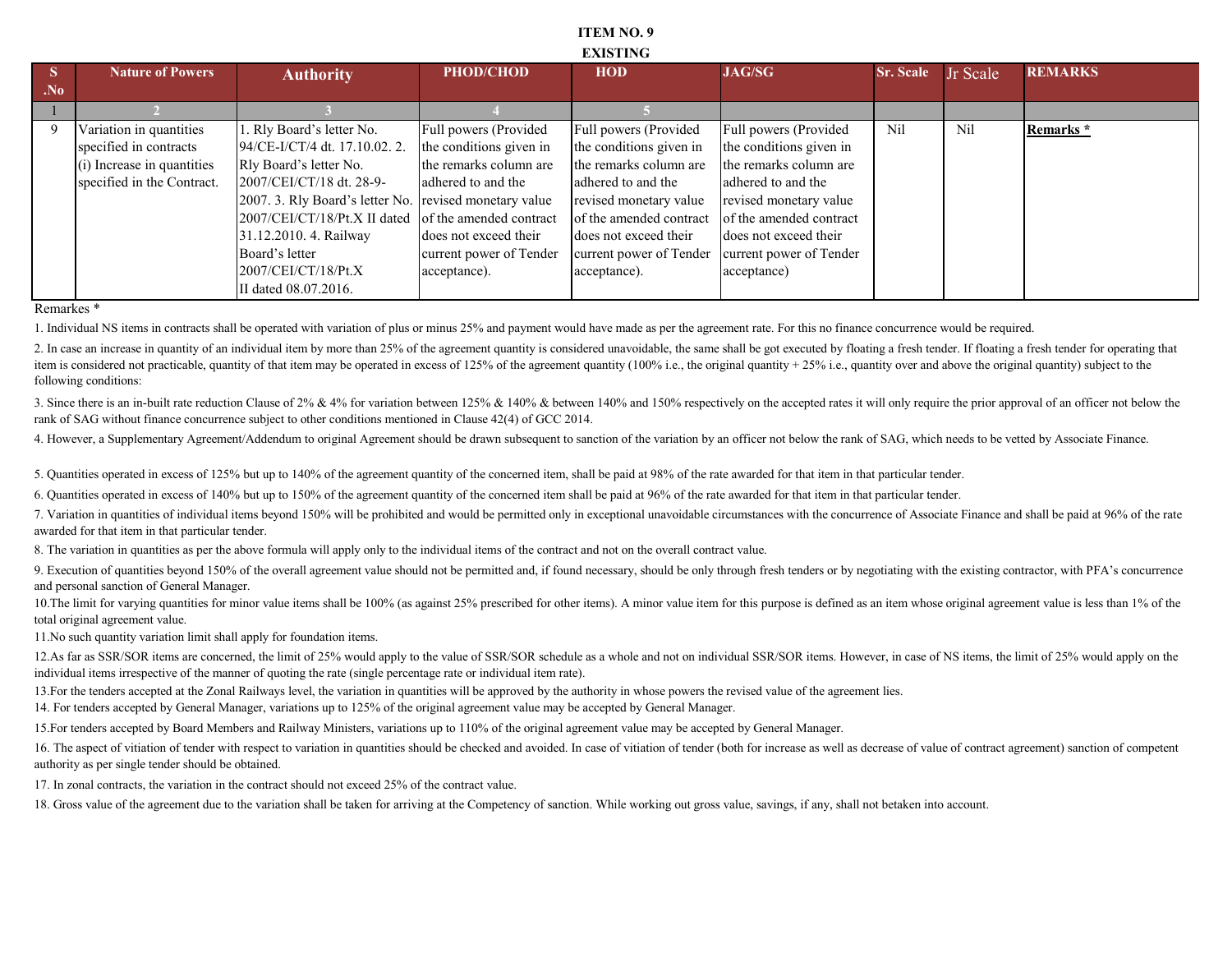#### **ITEM NO. 9 EXISTING**

| D.             | <b>Nature of Powers</b>    | <b>Authority</b>                                       | <b>PHOD/CHOD</b>        | <b>HOD</b>                                      | <b>JAG/SG</b>           | <b>Sr. Scale</b> | Jr Scale | <b>REMARKS</b> |
|----------------|----------------------------|--------------------------------------------------------|-------------------------|-------------------------------------------------|-------------------------|------------------|----------|----------------|
| N <sub>0</sub> |                            |                                                        |                         |                                                 |                         |                  |          |                |
|                |                            |                                                        |                         |                                                 |                         |                  |          |                |
| 9              | Variation in quantities    | 1. Rly Board's letter No.                              | Full powers (Provided   | Full powers (Provided                           | Full powers (Provided   | Nil              | Nil      | Remarks *      |
|                | specified in contracts     | 94/CE-I/CT/4 dt. 17.10.02. 2.                          | the conditions given in | the conditions given in                         | the conditions given in |                  |          |                |
|                | (i) Increase in quantities | Rly Board's letter No.                                 | the remarks column are  | the remarks column are                          | the remarks column are  |                  |          |                |
|                | specified in the Contract. | 2007/CEI/CT/18 dt. 28-9-                               | adhered to and the      | adhered to and the                              | adhered to and the      |                  |          |                |
|                |                            | 2007. 3. Rly Board's letter No. revised monetary value |                         | revised monetary value                          | revised monetary value  |                  |          |                |
|                |                            | 2007/CEI/CT/18/Pt.X II dated of the amended contract   |                         | of the amended contract                         | of the amended contract |                  |          |                |
|                |                            | 31.12.2010. 4. Railway                                 | does not exceed their   | does not exceed their                           | does not exceed their   |                  |          |                |
|                |                            | Board's letter                                         | current power of Tender | current power of Tender current power of Tender |                         |                  |          |                |
|                |                            | 2007/CEI/CT/18/Pt.X                                    | acceptance).            | acceptance).                                    | acceptance)             |                  |          |                |
|                |                            | II dated 08.07.2016.                                   |                         |                                                 |                         |                  |          |                |

Remarkes \*

1. Individual NS items in contracts shall be operated with variation of plus or minus 25% and payment would have made as per the agreement rate. For this no finance concurrence would be required.

2. In case an increase in quantity of an individual item by more than 25% of the agreement quantity is considered unavoidable, the same shall be got executed by floating a fresh tender. If floating a fresh tender for opera item is considered not practicable, quantity of that item may be operated in excess of 125% of the agreement quantity (100% i.e., the original quantity + 25% i.e., quantity over and above the original quantity) subject to following conditions:

3. Since there is an in-built rate reduction Clause of 2% & 4% for variation between 125% & 140% & between 140% and 150% respectively on the accepted rates it will only require the prior approval of an officer not below th rank of SAG without finance concurrence subject to other conditions mentioned in Clause 42(4) of GCC 2014.

4. However, a Supplementary Agreement/Addendum to original Agreement should be drawn subsequent to sanction of the variation by an officer not below the rank of SAG, which needs to be vetted by Associate Finance.

5. Quantities operated in excess of 125% but up to 140% of the agreement quantity of the concerned item, shall be paid at 98% of the rate awarded for that item in that particular tender.

6. Quantities operated in excess of 140% but up to 150% of the agreement quantity of the concerned item shall be paid at 96% of the rate awarded for that item in that particular tender.

7. Variation in quantities of individual items beyond 150% will be prohibited and would be permitted only in exceptional unavoidable circumstances with the concurrence of Associate Finance and shall be paid at 96% of the r awarded for that item in that particular tender.

8. The variation in quantities as per the above formula will apply only to the individual items of the contract and not on the overall contract value.

9. Execution of quantities beyond 150% of the overall agreement value should not be permitted and, if found necessary, should be only through fresh tenders or by negotiating with the existing contractor, with PFA's concurr and personal sanction of General Manager.

10. The limit for varying quantities for minor value items shall be 100% (as against 25% prescribed for other items). A minor value item for this purpose is defined as an item whose original agreement value is less than 1% total original agreement value.

11.No such quantity variation limit shall apply for foundation items.

12.As far as SSR/SOR items are concerned, the limit of 25% would apply to the value of SSR/SOR schedule as a whole and not on individual SSR/SOR items. However, in case of NS items, the limit of 25% would apply on the individual items irrespective of the manner of quoting the rate (single percentage rate or individual item rate).

13. For the tenders accepted at the Zonal Railways level, the variation in quantities will be approved by the authority in whose powers the revised value of the agreement lies.

14. For tenders accepted by General Manager, variations up to 125% of the original agreement value may be accepted by General Manager.

15.For tenders accepted by Board Members and Railway Ministers, variations up to 110% of the original agreement value may be accepted by General Manager.

16. The aspect of vitiation of tender with respect to variation in quantities should be checked and avoided. In case of vitiation of tender (both for increase as well as decrease of value of contract agreement) sanction of authority as per single tender should be obtained.

17. In zonal contracts, the variation in the contract should not exceed 25% of the contract value.

18. Gross value of the agreement due to the variation shall be taken for arriving at the Competency of sanction. While working out gross value, savings, if any, shall not betaken into account.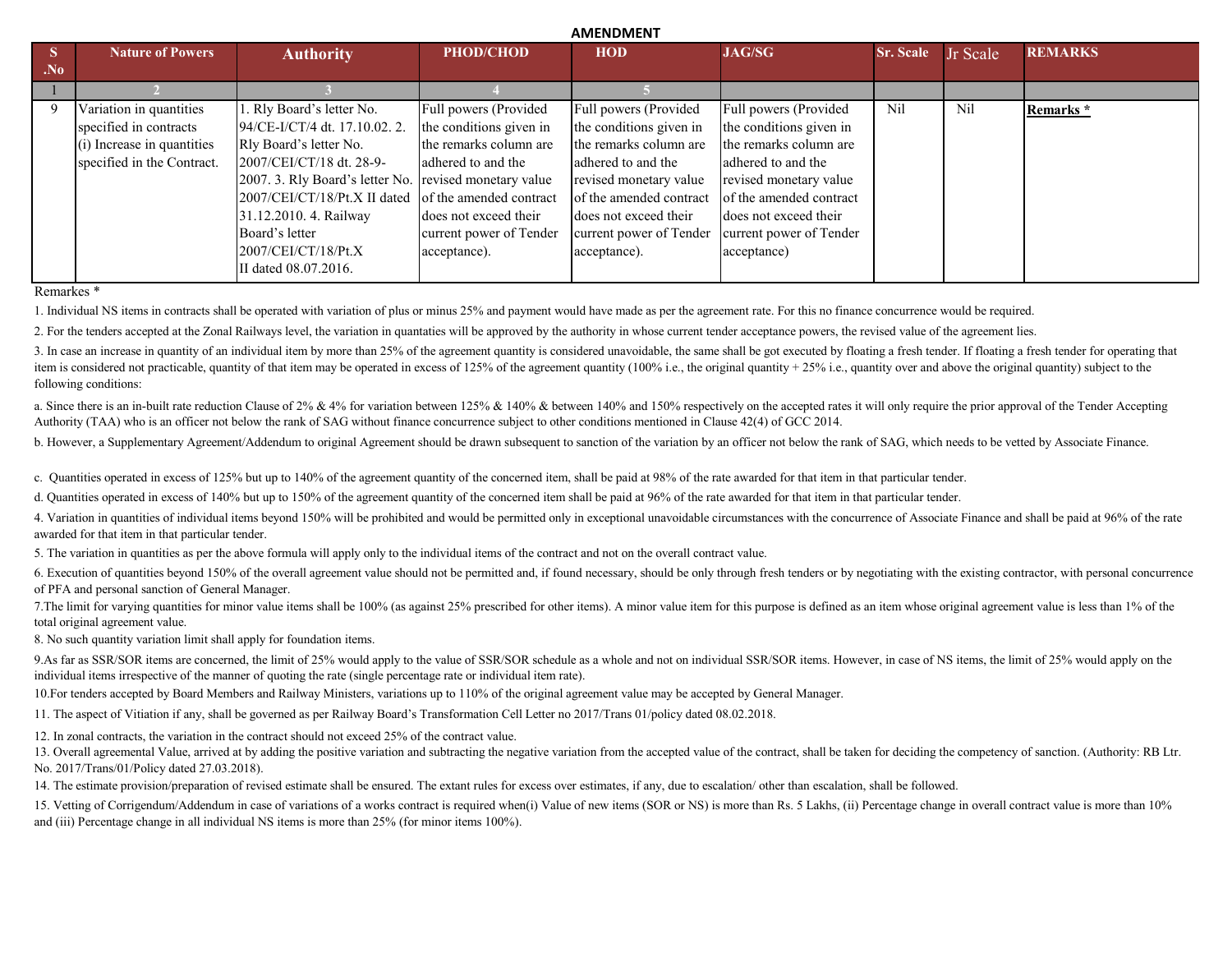|                |                            |                                                        |                         | <b>AIVILIVUIVILIVI</b>  |                         |                  |          |                |
|----------------|----------------------------|--------------------------------------------------------|-------------------------|-------------------------|-------------------------|------------------|----------|----------------|
|                | <b>Nature of Powers</b>    | <b>Authority</b>                                       | <b>PHOD/CHOD</b>        | <b>HOD</b>              | <b>JAG/SG</b>           | <b>Sr. Scale</b> | Jr Scale | <b>REMARKS</b> |
| N <sub>0</sub> |                            |                                                        |                         |                         |                         |                  |          |                |
|                |                            |                                                        |                         |                         |                         |                  |          |                |
|                | Variation in quantities    | 1. Rly Board's letter No.                              | Full powers (Provided   | Full powers (Provided   | Full powers (Provided   | Nil              | Nil      | Remarks *      |
|                | specified in contracts     | 94/CE-I/CT/4 dt. 17.10.02. 2.                          | the conditions given in | the conditions given in | the conditions given in |                  |          |                |
|                | (i) Increase in quantities | Rly Board's letter No.                                 | the remarks column are  | the remarks column are  | the remarks column are  |                  |          |                |
|                | specified in the Contract. | 2007/CEI/CT/18 dt. 28-9-                               | adhered to and the      | adhered to and the      | adhered to and the      |                  |          |                |
|                |                            | 2007. 3. Rly Board's letter No. revised monetary value |                         | revised monetary value  | revised monetary value  |                  |          |                |
|                |                            | 2007/CEI/CT/18/Pt.X II dated of the amended contract   |                         | of the amended contract | of the amended contract |                  |          |                |
|                |                            | 31.12.2010. 4. Railway                                 | does not exceed their   | does not exceed their   | does not exceed their   |                  |          |                |
|                |                            | Board's letter                                         | current power of Tender | current power of Tender | current power of Tender |                  |          |                |
|                |                            | 2007/CEI/CT/18/Pt.X                                    | acceptance).            | acceptance).            | acceptance)             |                  |          |                |
|                |                            | II dated 08.07.2016.                                   |                         |                         |                         |                  |          |                |
|                |                            |                                                        |                         |                         |                         |                  |          |                |

**AMENDMENT**

Remarkes \*

1. Individual NS items in contracts shall be operated with variation of plus or minus 25% and payment would have made as per the agreement rate. For this no finance concurrence would be required.

2. For the tenders accepted at the Zonal Railways level, the variation in quantaties will be approved by the authority in whose current tender acceptance powers, the revised value of the agreement lies.

3. In case an increase in quantity of an individual item by more than 25% of the agreement quantity is considered unavoidable, the same shall be got executed by floating a fresh tender. If floating a fresh tender for opera item is considered not practicable, quantity of that item may be operated in excess of 125% of the agreement quantity (100% i.e., the original quantity + 25% i.e., quantity over and above the original quantity) subject to following conditions:

a. Since there is an in-built rate reduction Clause of  $2\%$  & 4% for variation between 125% & 140% & between 140% and 150% respectively on the accepted rates it will only require the prior approval of the Tender Acceptin Authority (TAA) who is an officer not below the rank of SAG without finance concurrence subject to other conditions mentioned in Clause 42(4) of GCC 2014.

b. However, a Supplementary Agreement/Addendum to original Agreement should be drawn subsequent to sanction of the variation by an officer not below the rank of SAG, which needs to be vetted by Associate Finance.

c. Quantities operated in excess of 125% but up to 140% of the agreement quantity of the concerned item, shall be paid at 98% of the rate awarded for that item in that particular tender.

d. Quantities operated in excess of 140% but up to 150% of the agreement quantity of the concerned item shall be paid at 96% of the rate awarded for that item in that particular tender.

4. Variation in quantities of individual items beyond 150% will be prohibited and would be permitted only in exceptional unavoidable circumstances with the concurrence of Associate Finance and shall be paid at 96% of the r awarded for that item in that particular tender.

5. The variation in quantities as per the above formula will apply only to the individual items of the contract and not on the overall contract value.

6. Execution of quantities beyond 150% of the overall agreement value should not be permitted and, if found necessary, should be only through fresh tenders or by negotiating with the existing contractor, with personal conc of PFA and personal sanction of General Manager.

7. The limit for varying quantities for minor value items shall be 100% (as against 25% prescribed for other items). A minor value item for this purpose is defined as an item whose original agreement value is less than 1% total original agreement value.

8. No such quantity variation limit shall apply for foundation items.

9.As far as SSR/SOR items are concerned, the limit of 25% would apply to the value of SSR/SOR schedule as a whole and not on individual SSR/SOR items. However, in case of NS items, the limit of 25% would apply on the individual items irrespective of the manner of quoting the rate (single percentage rate or individual item rate).

10.For tenders accepted by Board Members and Railway Ministers, variations up to 110% of the original agreement value may be accepted by General Manager.

11. The aspect of Vitiation if any, shall be governed as per Railway Board's Transformation Cell Letter no 2017/Trans 01/policy dated 08.02.2018.

12. In zonal contracts, the variation in the contract should not exceed 25% of the contract value.

13. Overall agreemental Value, arrived at by adding the positive variation and subtracting the negative variation from the accepted value of the contract, shall be taken for deciding the competency of sanction. (Authority: No. 2017/Trans/01/Policy dated 27.03.2018).

14. The estimate provision/preparation of revised estimate shall be ensured. The extant rules for excess over estimates, if any, due to escalation/ other than escalation, shall be followed.

15. Vetting of Corrigendum/Addendum in case of variations of a works contract is required when(i) Value of new items (SOR or NS) is more than Rs. 5 Lakhs, (ii) Percentage change in overall contract value is more than 10% and (iii) Percentage change in all individual NS items is more than 25% (for minor items 100%).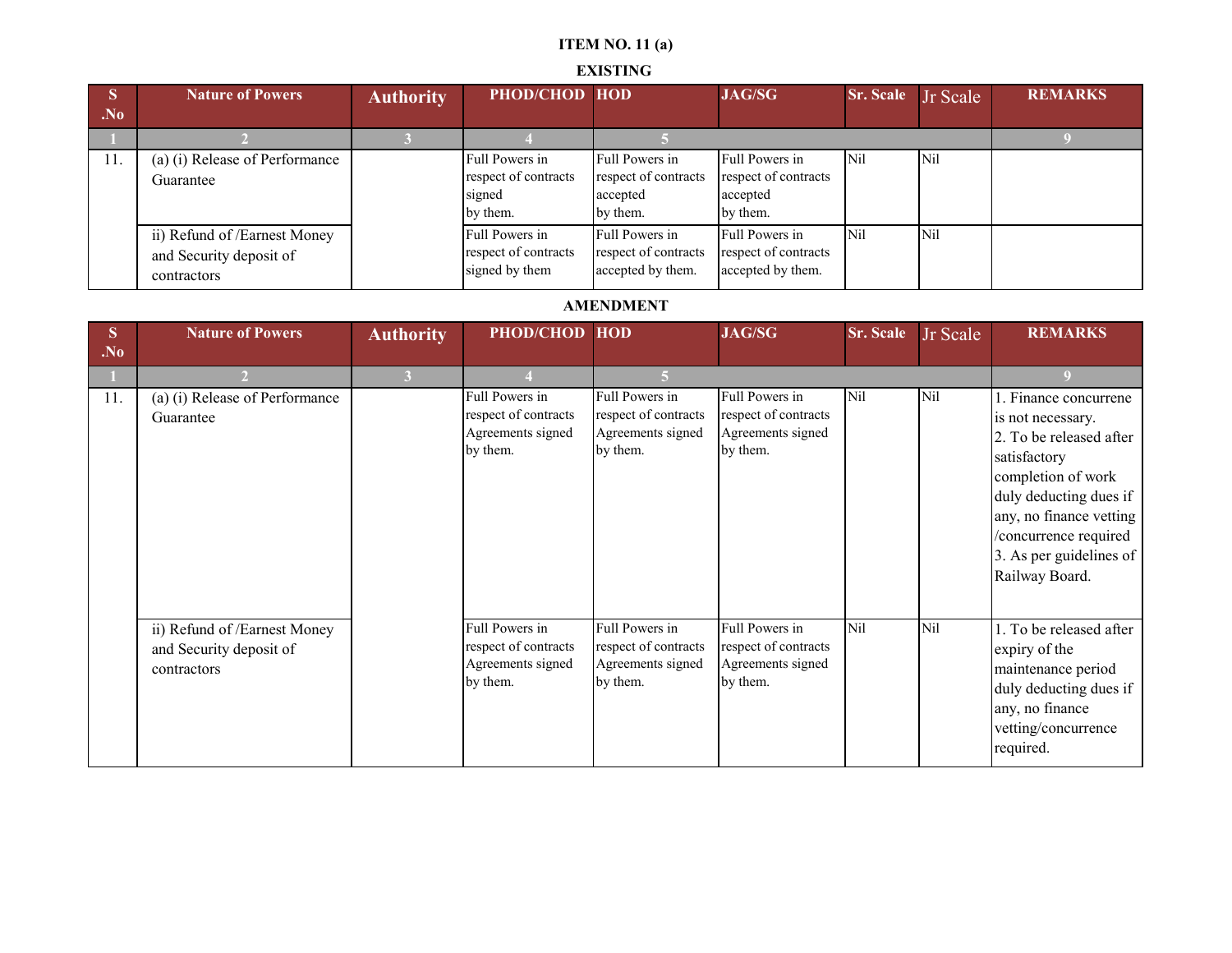# **ITEM NO. 11 (a)**

## **EXISTING**

| $\overline{\mathbf{S}}$ | <b>Nature of Powers</b>                                                | <b>Authority</b> | PHOD/CHOD HOD                                                |                                                                | <b>JAG/SG</b>                                                  | Sr. Scale Jr Scale |     | <b>REMARKS</b> |
|-------------------------|------------------------------------------------------------------------|------------------|--------------------------------------------------------------|----------------------------------------------------------------|----------------------------------------------------------------|--------------------|-----|----------------|
| . No                    |                                                                        |                  |                                                              |                                                                |                                                                |                    |     |                |
|                         |                                                                        |                  |                                                              |                                                                |                                                                |                    |     |                |
| 11.                     | (a) (i) Release of Performance<br>Guarantee                            |                  | Full Powers in<br>respect of contracts<br>signed<br>by them. | Full Powers in<br>respect of contracts<br>accepted<br>by them. | Full Powers in<br>respect of contracts<br>accepted<br>by them. | N <sub>il</sub>    | Nil |                |
|                         | ii) Refund of /Earnest Money<br>and Security deposit of<br>contractors |                  | Full Powers in<br>respect of contracts<br>signed by them     | Full Powers in<br>respect of contracts<br>accepted by them.    | Full Powers in<br>respect of contracts<br>accepted by them.    | N <sub>i</sub>     | Nil |                |

### **AMENDMENT**

| S<br>N <sub>0</sub> | <b>Nature of Powers</b>                                                | <b>Authority</b> | PHOD/CHOD HOD                                                           |                                                                         | <b>JAG/SG</b>                                                           | Sr. Scale  | Jr Scale | <b>REMARKS</b>                                                                                                                                                                                                                         |
|---------------------|------------------------------------------------------------------------|------------------|-------------------------------------------------------------------------|-------------------------------------------------------------------------|-------------------------------------------------------------------------|------------|----------|----------------------------------------------------------------------------------------------------------------------------------------------------------------------------------------------------------------------------------------|
|                     |                                                                        | $\overline{3}$   |                                                                         |                                                                         |                                                                         |            |          |                                                                                                                                                                                                                                        |
| 11.                 | (a) (i) Release of Performance<br>Guarantee                            |                  | Full Powers in<br>respect of contracts<br>Agreements signed<br>by them. | Full Powers in<br>respect of contracts<br>Agreements signed<br>by them. | Full Powers in<br>respect of contracts<br>Agreements signed<br>by them. | Nil        | Nil      | I. Finance concurrene<br>is not necessary.<br>2. To be released after<br>satisfactory<br>completion of work<br>duly deducting dues if<br>any, no finance vetting<br>/concurrence required<br>3. As per guidelines of<br>Railway Board. |
|                     | ii) Refund of /Earnest Money<br>and Security deposit of<br>contractors |                  | Full Powers in<br>respect of contracts<br>Agreements signed<br>by them. | Full Powers in<br>respect of contracts<br>Agreements signed<br>by them. | Full Powers in<br>respect of contracts<br>Agreements signed<br>by them. | <b>Nil</b> | Nil      | 1. To be released after<br>expiry of the<br>maintenance period<br>duly deducting dues if<br>any, no finance<br>vetting/concurrence<br>required.                                                                                        |